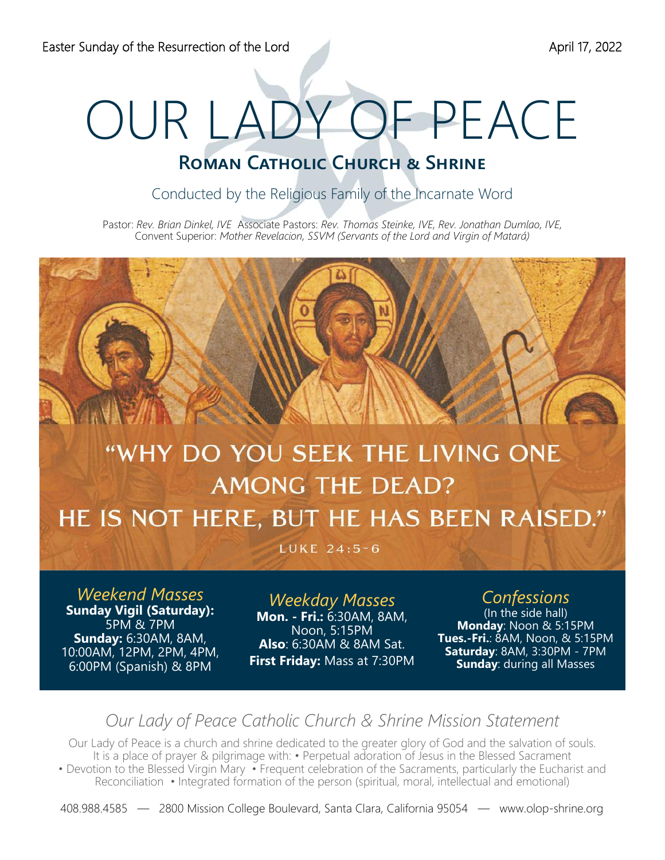# OUR LADY OF PEACE

## **ROMAN CATHOLIC CHURCH & SHRINE**

Conducted by the Religious Family of the Incarnate Word

Pastor: *Rev. Brian Dinkel, IVE* Associate Pastors: *Rev. Thomas Steinke, IVE, Rev. Jonathan Dumlao, IVE,*  Convent Superior: *Mother Revelacion, SSVM (Servants of the Lord and Virgin of Matará)* 

# "WHY DO YOU SEEK THE LIVING ONE **AMONG THE DEAD?** HE IS NOT HERE, BUT HE HAS BEEN RAISED."

LUKE 24:5-6

*Weekend Masses*  **Sunday Vigil (Saturday):**  5PM & 7PM **Sunday:** 6:30AM, 8AM, 10:00AM, 12PM, 2PM, 4PM, 6:00PM (Spanish) & 8PM

*Weekday Masses*  **Mon. - Fri.:** 6:30AM, 8AM, Noon, 5:15PM **Also**: 6:30AM & 8AM Sat. **First Friday:** Mass at 7:30PM

## *Confessions*

(In the side hall) **Monday**: Noon & 5:15PM **Tues.-Fri.**: 8AM, Noon, & 5:15PM **Saturday**: 8AM, 3:30PM - 7PM **Sunday**: during all Masses

## *Our Lady of Peace Catholic Church & Shrine Mission Statement*

Our Lady of Peace is a church and shrine dedicated to the greater glory of God and the salvation of souls. It is a place of prayer & pilgrimage with: • Perpetual adoration of Jesus in the Blessed Sacrament • Devotion to the Blessed Virgin Mary • Frequent celebration of the Sacraments, particularly the Eucharist and Reconciliation • Integrated formation of the person (spiritual, moral, intellectual and emotional)

408.988.4585 — 2800 Mission College Boulevard, Santa Clara, California 95054 — www.olop-shrine.org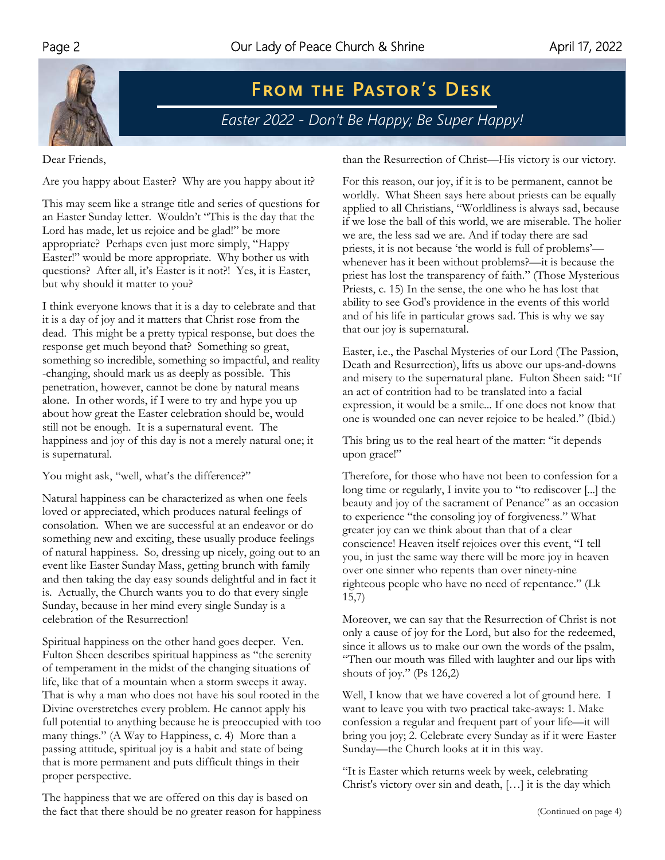

 $F$  **PASTOR'S DESK** *Easter 2022 - Don't Be Happy; Be Super Happy!* 

Dear Friends,

Are you happy about Easter? Why are you happy about it?

This may seem like a strange title and series of questions for an Easter Sunday letter. Wouldn't "This is the day that the Lord has made, let us rejoice and be glad!" be more appropriate? Perhaps even just more simply, "Happy Easter!" would be more appropriate. Why bother us with questions? After all, it's Easter is it not?! Yes, it is Easter, but why should it matter to you?

I think everyone knows that it is a day to celebrate and that it is a day of joy and it matters that Christ rose from the dead. This might be a pretty typical response, but does the response get much beyond that? Something so great, something so incredible, something so impactful, and reality -changing, should mark us as deeply as possible. This penetration, however, cannot be done by natural means alone. In other words, if I were to try and hype you up about how great the Easter celebration should be, would still not be enough. It is a supernatural event. The happiness and joy of this day is not a merely natural one; it is supernatural.

You might ask, "well, what's the difference?"

Natural happiness can be characterized as when one feels loved or appreciated, which produces natural feelings of consolation. When we are successful at an endeavor or do something new and exciting, these usually produce feelings of natural happiness. So, dressing up nicely, going out to an event like Easter Sunday Mass, getting brunch with family and then taking the day easy sounds delightful and in fact it is. Actually, the Church wants you to do that every single Sunday, because in her mind every single Sunday is a celebration of the Resurrection!

Spiritual happiness on the other hand goes deeper. Ven. Fulton Sheen describes spiritual happiness as "the serenity of temperament in the midst of the changing situations of life, like that of a mountain when a storm sweeps it away. That is why a man who does not have his soul rooted in the Divine overstretches every problem. He cannot apply his full potential to anything because he is preoccupied with too many things." (A Way to Happiness, c. 4) More than a passing attitude, spiritual joy is a habit and state of being that is more permanent and puts difficult things in their proper perspective.

The happiness that we are offered on this day is based on the fact that there should be no greater reason for happiness than the Resurrection of Christ—His victory is our victory.

For this reason, our joy, if it is to be permanent, cannot be worldly. What Sheen says here about priests can be equally applied to all Christians, "Worldliness is always sad, because if we lose the ball of this world, we are miserable. The holier we are, the less sad we are. And if today there are sad priests, it is not because 'the world is full of problems' whenever has it been without problems?—it is because the priest has lost the transparency of faith." (Those Mysterious Priests, c. 15) In the sense, the one who he has lost that ability to see God's providence in the events of this world and of his life in particular grows sad. This is why we say that our joy is supernatural.

Easter, i.e., the Paschal Mysteries of our Lord (The Passion, Death and Resurrection), lifts us above our ups-and-downs and misery to the supernatural plane. Fulton Sheen said: "If an act of contrition had to be translated into a facial expression, it would be a smile... If one does not know that one is wounded one can never rejoice to be healed." (Ibid.)

This bring us to the real heart of the matter: "it depends upon grace!"

Therefore, for those who have not been to confession for a long time or regularly, I invite you to "to rediscover [...] the beauty and joy of the sacrament of Penance" as an occasion to experience "the consoling joy of forgiveness." What greater joy can we think about than that of a clear conscience! Heaven itself rejoices over this event, "I tell you, in just the same way there will be more joy in heaven over one sinner who repents than over ninety-nine righteous people who have no need of repentance." (Lk 15,7)

Moreover, we can say that the Resurrection of Christ is not only a cause of joy for the Lord, but also for the redeemed, since it allows us to make our own the words of the psalm, "Then our mouth was filled with laughter and our lips with shouts of joy." (Ps 126,2)

Well, I know that we have covered a lot of ground here. I want to leave you with two practical take-aways: 1. Make confession a regular and frequent part of your life—it will bring you joy; 2. Celebrate every Sunday as if it were Easter Sunday—the Church looks at it in this way.

"It is Easter which returns week by week, celebrating Christ's victory over sin and death, […] it is the day which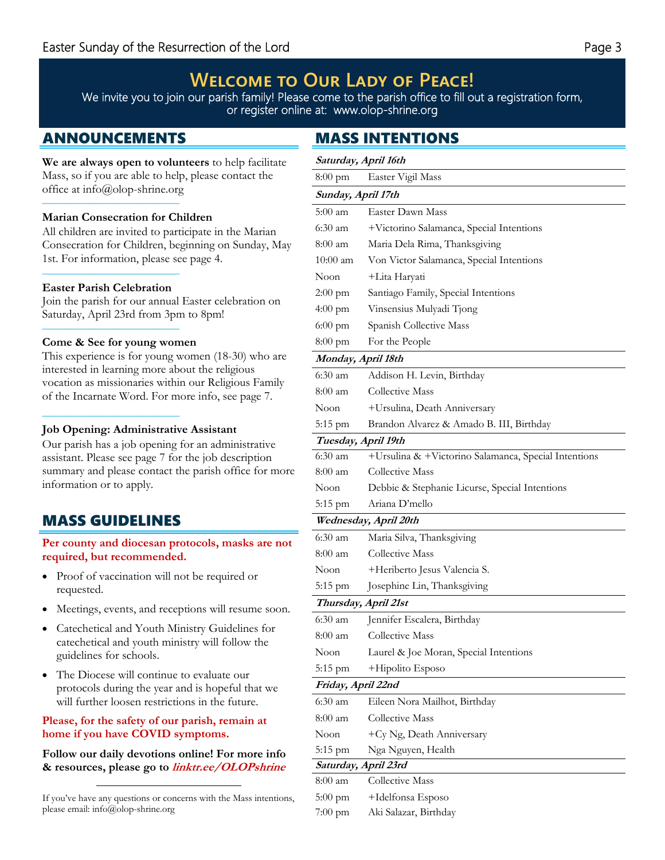## $W$ **ELCOME TO OUR LADY OF PEACE!**

We invite you to join our parish family! Please come to the parish office to fill out a registration form, or register online at: www.olop-shrine.org

**We are always open to volunteers** to help facilitate Mass, so if you are able to help, please contact the office at info@olop-shrine.org ————–———————

## **Marian Consecration for Children**

All children are invited to participate in the Marian Consecration for Children, beginning on Sunday, May 1st. For information, please see page 4.

#### ————–——————— **Easter Parish Celebration**

Join the parish for our annual Easter celebration on Saturday, April 23rd from 3pm to 8pm!

#### ————–——————— **Come & See for young women**

————–———————

This experience is for young women (18-30) who are interested in learning more about the religious vocation as missionaries within our Religious Family of the Incarnate Word. For more info, see page 7.

## **Job Opening: Administrative Assistant**

Our parish has a job opening for an administrative assistant. Please see page 7 for the job description summary and please contact the parish office for more information or to apply.

## MASS GUIDELINES

**Per county and diocesan protocols, masks are not required, but recommended.** 

- Proof of vaccination will not be required or requested.
- Meetings, events, and receptions will resume soon.
- Catechetical and Youth Ministry Guidelines for catechetical and youth ministry will follow the guidelines for schools.
- The Diocese will continue to evaluate our protocols during the year and is hopeful that we will further loosen restrictions in the future.

## **Please, for the safety of our parish, remain at home if you have COVID symptoms.**

**Follow our daily devotions online! For more info & resources, please go to linktr.ee/OLOPshrine**

If you've have any questions or concerns with the Mass intentions, please email: info@olop-shrine.org

## ANNOUNCEMENTS MASS INTENTIONS

| Saturday, April 16th |                                                      |  |  |  |  |
|----------------------|------------------------------------------------------|--|--|--|--|
| $8:00 \text{ pm}$    | Easter Vigil Mass                                    |  |  |  |  |
| Sunday, April 17th   |                                                      |  |  |  |  |
| $5:00 \text{ am}$    | Easter Dawn Mass                                     |  |  |  |  |
| 6:30 am              | +Victorino Salamanca, Special Intentions             |  |  |  |  |
| 8:00 am              | Maria Dela Rima, Thanksgiving                        |  |  |  |  |
| $10:00 \text{ am}$   | Von Victor Salamanca, Special Intentions             |  |  |  |  |
| Noon                 | +Lita Haryati                                        |  |  |  |  |
| 2:00 pm              | Santiago Family, Special Intentions                  |  |  |  |  |
| 4:00 pm              | Vinsensius Mulyadi Tjong                             |  |  |  |  |
| 6:00 pm              | Spanish Collective Mass                              |  |  |  |  |
| $8:00$ pm            | For the People                                       |  |  |  |  |
| Monday, April 18th   |                                                      |  |  |  |  |
| $6:30 \text{ am}$    | Addison H. Levin, Birthday                           |  |  |  |  |
| $8:00 \text{ am}$    | Collective Mass                                      |  |  |  |  |
| Noon                 | +Ursulina, Death Anniversary                         |  |  |  |  |
| 5:15 pm              | Brandon Alvarez & Amado B. III, Birthday             |  |  |  |  |
| Tuesday, April 19th  |                                                      |  |  |  |  |
| 6:30 am              | +Ursulina & +Victorino Salamanca, Special Intentions |  |  |  |  |
| 8:00 am              | Collective Mass                                      |  |  |  |  |
| Noon                 | Debbie & Stephanie Licurse, Special Intentions       |  |  |  |  |
| 5:15 pm              | Ariana D'mello                                       |  |  |  |  |
|                      | Wednesday, April 20th                                |  |  |  |  |
| $6:30 \text{ am}$    | Maria Silva, Thanksgiving                            |  |  |  |  |
| 8:00 am              | Collective Mass                                      |  |  |  |  |
| Noon                 | +Heriberto Jesus Valencia S.                         |  |  |  |  |
| 5:15 pm              | Josephine Lin, Thanksgiving                          |  |  |  |  |
| Thursday, April 21st |                                                      |  |  |  |  |
| $6:30 \text{ am}$    | Jennifer Escalera, Birthday                          |  |  |  |  |
| 8:00 am              | Collective Mass                                      |  |  |  |  |
| Noon                 | Laurel & Joe Moran, Special Intentions               |  |  |  |  |
| 5:15 pm              | +Hipolito Esposo                                     |  |  |  |  |
| Friday, April 22nd   |                                                      |  |  |  |  |
| 6:30 am              | Eileen Nora Mailhot, Birthday                        |  |  |  |  |
| 8:00 am              | Collective Mass                                      |  |  |  |  |
| Noon                 | +Cy Ng, Death Anniversary                            |  |  |  |  |
| 5:15 pm              | Nga Nguyen, Health                                   |  |  |  |  |
| Saturday, April 23rd |                                                      |  |  |  |  |
| 8:00 am              | Collective Mass                                      |  |  |  |  |
| $5:00$ pm            | +Idelfonsa Esposo                                    |  |  |  |  |
| 7:00 pm              | Aki Salazar, Birthday                                |  |  |  |  |
|                      |                                                      |  |  |  |  |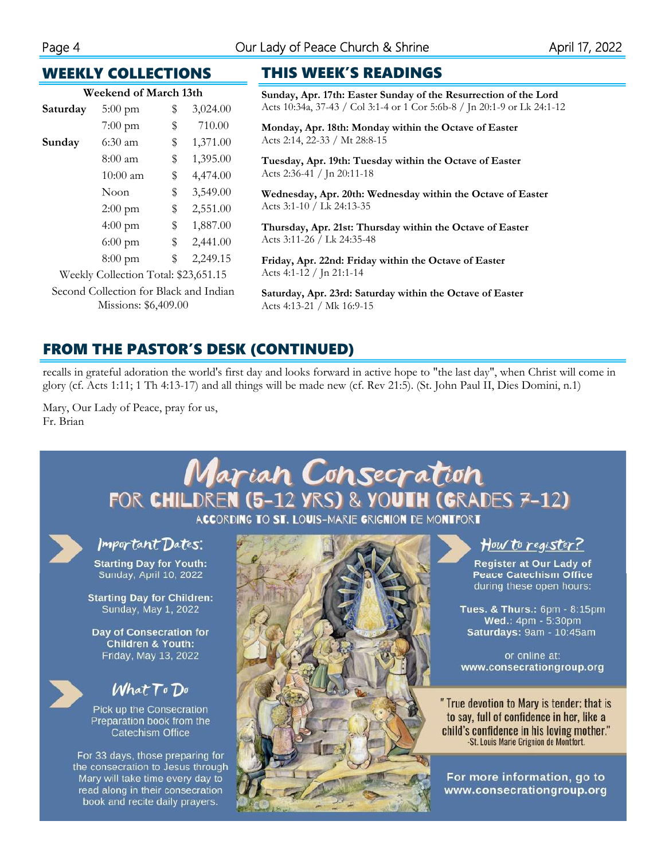## WEEKLY COLLECTIONS

| Weekend of March 13th |                   |    |          |  |  |  |
|-----------------------|-------------------|----|----------|--|--|--|
| Saturday              | $5:00 \text{ pm}$ | \$ | 3,024.00 |  |  |  |
|                       | 7:00 pm           | \$ | 710.00   |  |  |  |
| Sunday                | $6:30$ am         | \$ | 1,371.00 |  |  |  |
|                       | $8:00$ am         | \$ | 1,395.00 |  |  |  |
|                       | $10:00$ am        | \$ | 4,474.00 |  |  |  |
|                       | Noon              | \$ | 3,549.00 |  |  |  |
|                       | $2:00$ pm         | \$ | 2,551.00 |  |  |  |
|                       | $4:00 \text{ pm}$ | \$ | 1,887.00 |  |  |  |
|                       | $6:00 \text{ pm}$ | \$ | 2,441.00 |  |  |  |
|                       | $8:00 \text{ pm}$ | \$ | 2,249.15 |  |  |  |

Weekly Collection Total: \$23,651.15 Second Collection for Black and Indian Missions: \$6,409.00

## THIS WEEK'S READINGS

**Sunday, Apr. 17th: Easter Sunday of the Resurrection of the Lord**  Acts 10:34a, 37-43 / Col 3:1-4 or 1 Cor 5:6b-8 / Jn 20:1-9 or Lk 24:1-12

**Monday, Apr. 18th: Monday within the Octave of Easter**  Acts 2:14, 22-33 / Mt 28:8-15

**Tuesday, Apr. 19th: Tuesday within the Octave of Easter**  Acts 2:36-41 / Jn 20:11-18

**Wednesday, Apr. 20th: Wednesday within the Octave of Easter**  Acts 3:1-10 / Lk 24:13-35

**Thursday, Apr. 21st: Thursday within the Octave of Easter**  Acts 3:11-26 / Lk 24:35-48

**Friday, Apr. 22nd: Friday within the Octave of Easter**  Acts 4:1-12 / Jn 21:1-14

**Saturday, Apr. 23rd: Saturday within the Octave of Easter**  Acts 4:13-21 / Mk 16:9-15

## FROM THE PASTOR'S DESK (CONTINUED)

recalls in grateful adoration the world's first day and looks forward in active hope to "the last day", when Christ will come in glory (cf. Acts 1:11; 1 Th 4:13-17) and all things will be made new (cf. Rev 21:5). (St. John Paul II, Dies Domini, n.1)

Mary, Our Lady of Peace, pray for us, Fr. Brian

book and recite daily prayers.

#### Marian Consecration FOR CHILDREN (5-12 YRS) & YOUTH (GRADES 7-12) ACCORDING TO ST. LOUIS-MARIE GRIGNION DE MONTFORT Important Dates: How to register? **Starting Day for Youth:** Register at Our Lady of Sunday, April 10, 2022 **Peace Catechism Office** during these open hours: **Starting Day for Children:** Sunday, May 1, 2022 Tues. & Thurs.: 6pm - 8:15pm Wed.: 4pm - 5:30pm Day of Consecration for Saturdays: 9am - 10:45am **Children & Youth:** Friday, May 13, 2022 or online at: www.consecrationgroup.org  $What To Do$ " True devotion to Mary is tender; that is Pick up the Consecration to say, full of confidence in her, like a Preparation book from the child's confidence in his loving mother." **Catechism Office** -St. Louis Marie Grignion de Montfort. For 33 days, those preparing for the consecration to Jesus through Mary will take time every day to For more information, go to read along in their consecration www.consecrationgroup.org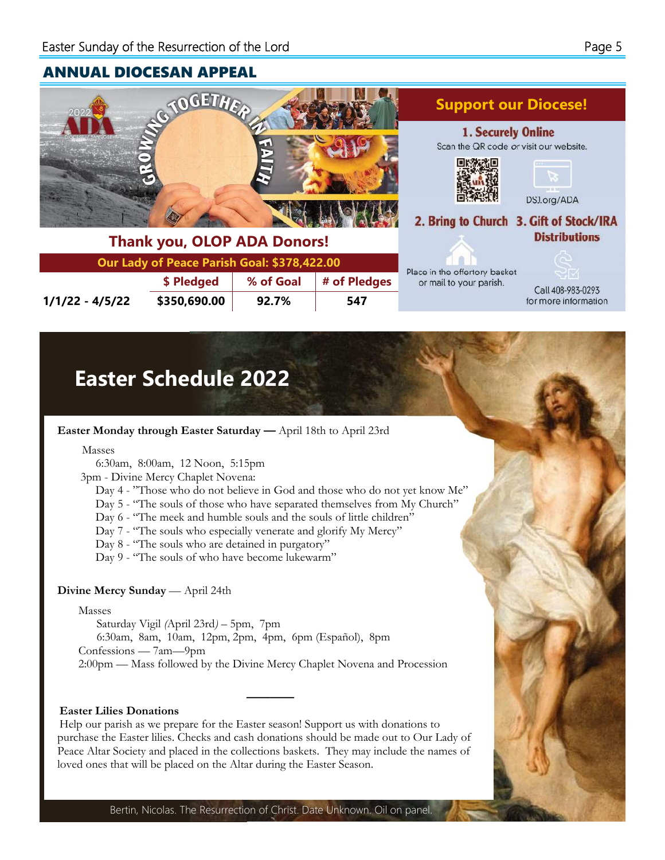## ANNUAL DIOCESAN APPEAL



| <b>HOUR YOU, OLDE ADA DUITUIS:</b>          |            |                            |  |  |  |  |
|---------------------------------------------|------------|----------------------------|--|--|--|--|
| Our Lady of Peace Parish Goal: \$378,422.00 |            |                            |  |  |  |  |
|                                             | \$ Pledged | │ % of Goal │ # of Pledges |  |  |  |  |

**1/1/22 - 4/5/22 \$350,690.00 92.7% 547** 





Call 408-983-0293 for more information

## **Easter Schedule 2022**

**Easter Monday through Easter Saturday —** April 18th to April 23rd

Masses

6:30am, 8:00am, 12 Noon, 5:15pm

3pm - Divine Mercy Chaplet Novena:

Day 4 - "Those who do not believe in God and those who do not yet know Me"

Day 5 - "The souls of those who have separated themselves from My Church"

Day 6 - "The meek and humble souls and the souls of little children"

Day 7 - "The souls who especially venerate and glorify My Mercy"

Day 8 - "The souls who are detained in purgatory"

Day 9 - "The souls of who have become lukewarm"

#### **Divine Mercy Sunday** — April 24th

Masses

Saturday Vigil *(*April 23rd*)* – 5pm, 7pm 6:30am, 8am, 10am, 12pm, 2pm, 4pm, 6pm (Español), 8pm Confessions — 7am—9pm 2:00pm — Mass followed by the Divine Mercy Chaplet Novena and Procession

#### **Easter Lilies Donations**

Help our parish as we prepare for the Easter season! Support us with donations to purchase the Easter lilies. Checks and cash donations should be made out to Our Lady of Peace Altar Society and placed in the collections baskets. They may include the names of loved ones that will be placed on the Altar during the Easter Season.

**————** 

Bertin, Nicolas. The Resurrection of Christ. Date Unknown. Oil on panel.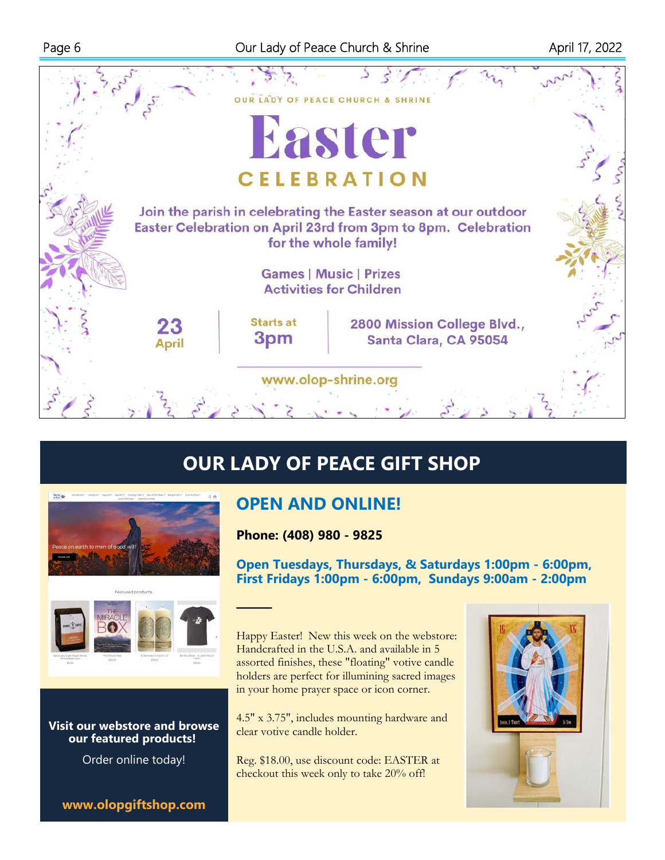

# **OUR LADY OF PEACE GIFT SHOP**





## **Visit our webstore and browse our featured products!**

Order online today!

**www.olopgiftshop.com**

## **OPEN AND ONLINE!**

**Phone: (408) 980 - 9825** 

**———** 

**Open Tuesdays, Thursdays, & Saturdays 1:00pm - 6:00pm, First Fridays 1:00pm - 6:00pm, Sundays 9:00am - 2:00pm** 

Happy Easter! New this week on the webstore: Handcrafted in the U.S.A. and available in 5 assorted finishes, these "floating" votive candle holders are perfect for illumining sacred images in your home prayer space or icon corner.

4.5" x 3.75", includes mounting hardware and clear votive candle holder.

Reg. \$18.00, use discount code: EASTER at checkout this week only to take 20% off!

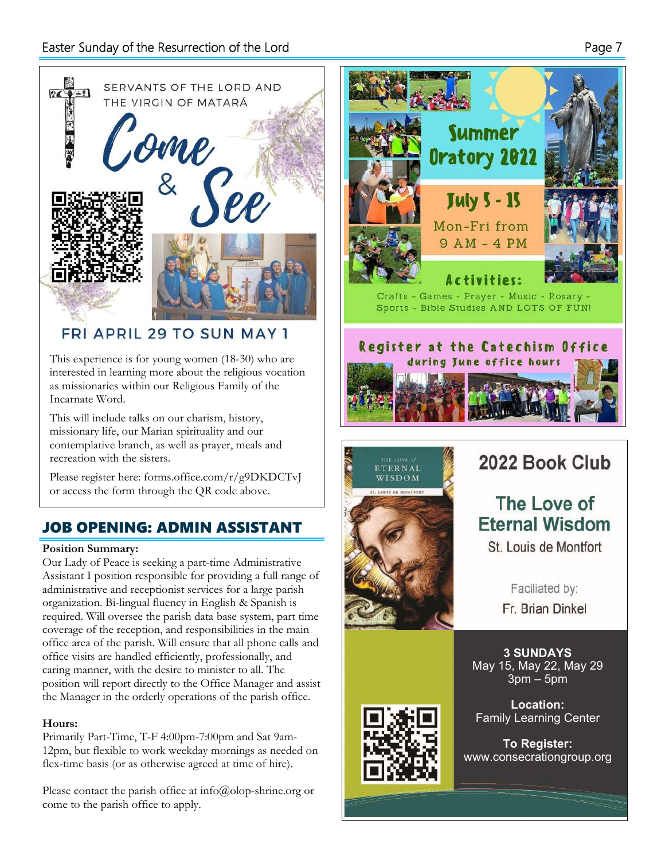

## **FRI APRIL 29 TO SUN MAY 1**

This experience is for young women (18-30) who are interested in learning more about the religious vocation as missionaries within our Religious Family of the Incarnate Word.

This will include talks on our charism, history, missionary life, our Marian spirituality and our contemplative branch, as well as prayer, meals and recreation with the sisters.

Please register here: forms.office.com/r/g9DKDCTvJ or access the form through the QR code above.

## JOB OPENING: ADMIN ASSISTANT

#### **Position Summary:**

Our Lady of Peace is seeking a part-time Administrative Assistant I position responsible for providing a full range of administrative and receptionist services for a large parish organization. Bi-lingual fluency in English & Spanish is required. Will oversee the parish data base system, part time coverage of the reception, and responsibilities in the main office area of the parish. Will ensure that all phone calls and office visits are handled efficiently, professionally, and caring manner, with the desire to minister to all. The position will report directly to the Office Manager and assist the Manager in the orderly operations of the parish office.

## **Hours:**

Primarily Part-Time, T-F 4:00pm-7:00pm and Sat 9am-12pm, but flexible to work weekday mornings as needed on flex-time basis (or as otherwise agreed at time of hire).

Please contact the parish office at info@olop-shrine.org or come to the parish office to apply.





**To Register:**  www.consecrationgroup.org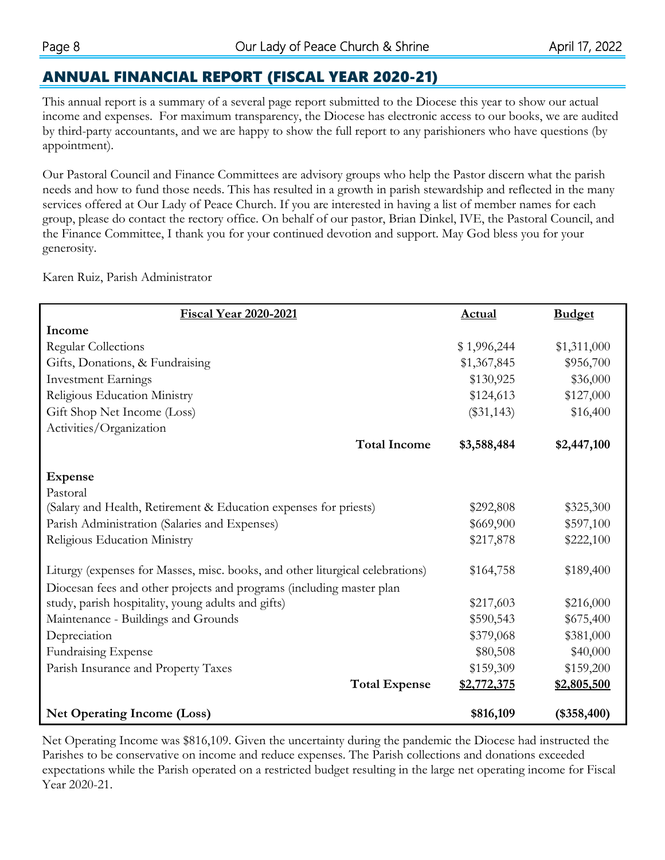## ANNUAL FINANCIAL REPORT (FISCAL YEAR 2020-21)

This annual report is a summary of a several page report submitted to the Diocese this year to show our actual income and expenses. For maximum transparency, the Diocese has electronic access to our books, we are audited by third-party accountants, and we are happy to show the full report to any parishioners who have questions (by appointment).

Our Pastoral Council and Finance Committees are advisory groups who help the Pastor discern what the parish needs and how to fund those needs. This has resulted in a growth in parish stewardship and reflected in the many services offered at Our Lady of Peace Church. If you are interested in having a list of member names for each group, please do contact the rectory office. On behalf of our pastor, Brian Dinkel, IVE, the Pastoral Council, and the Finance Committee, I thank you for your continued devotion and support. May God bless you for your generosity.

Karen Ruiz, Parish Administrator

| <b>Fiscal Year 2020-2021</b>                                                  | <b>Actual</b> | <b>Budget</b> |  |  |
|-------------------------------------------------------------------------------|---------------|---------------|--|--|
| Income                                                                        |               |               |  |  |
| <b>Regular Collections</b>                                                    | \$1,996,244   | \$1,311,000   |  |  |
| Gifts, Donations, & Fundraising                                               | \$1,367,845   | \$956,700     |  |  |
| <b>Investment Earnings</b>                                                    | \$130,925     | \$36,000      |  |  |
| Religious Education Ministry                                                  | \$124,613     | \$127,000     |  |  |
| Gift Shop Net Income (Loss)                                                   | $(\$31,143)$  | \$16,400      |  |  |
| Activities/Organization                                                       |               |               |  |  |
| <b>Total Income</b>                                                           | \$3,588,484   | \$2,447,100   |  |  |
|                                                                               |               |               |  |  |
| <b>Expense</b>                                                                |               |               |  |  |
| Pastoral                                                                      |               |               |  |  |
| (Salary and Health, Retirement & Education expenses for priests)              | \$292,808     | \$325,300     |  |  |
| Parish Administration (Salaries and Expenses)                                 | \$669,900     | \$597,100     |  |  |
| Religious Education Ministry                                                  | \$217,878     | \$222,100     |  |  |
| Liturgy (expenses for Masses, misc. books, and other liturgical celebrations) | \$164,758     | \$189,400     |  |  |
| Diocesan fees and other projects and programs (including master plan          |               |               |  |  |
| study, parish hospitality, young adults and gifts)                            | \$217,603     | \$216,000     |  |  |
| Maintenance - Buildings and Grounds                                           | \$590,543     | \$675,400     |  |  |
| Depreciation                                                                  | \$379,068     | \$381,000     |  |  |
| <b>Fundraising Expense</b>                                                    | \$80,508      | \$40,000      |  |  |
| Parish Insurance and Property Taxes                                           | \$159,309     | \$159,200     |  |  |
| <b>Total Expense</b>                                                          | \$2,772,375   | \$2,805,500   |  |  |
| <b>Net Operating Income (Loss)</b>                                            | \$816,109     | $(*358,400)$  |  |  |

Net Operating Income was \$816,109. Given the uncertainty during the pandemic the Diocese had instructed the Parishes to be conservative on income and reduce expenses. The Parish collections and donations exceeded expectations while the Parish operated on a restricted budget resulting in the large net operating income for Fiscal Year 2020-21.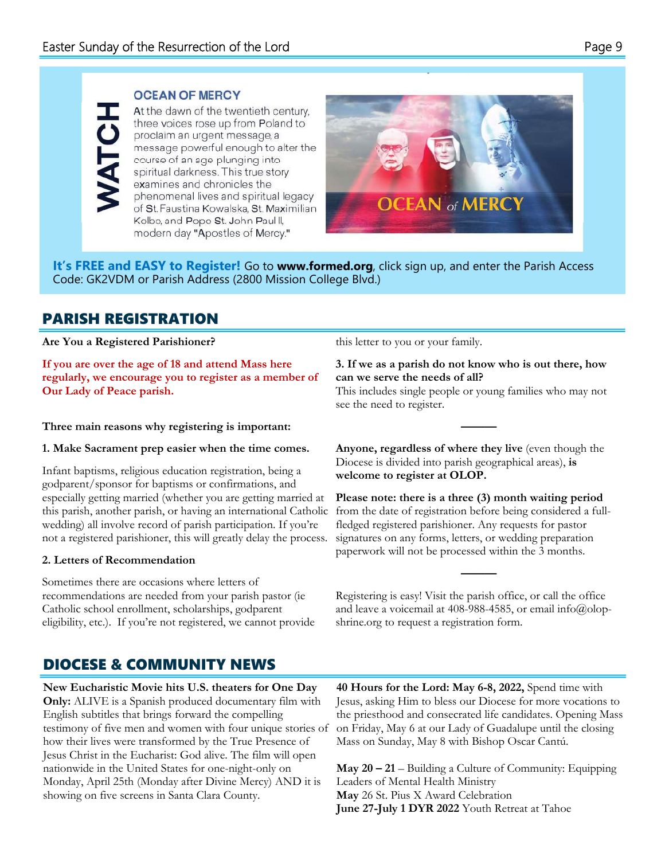## **OCEAN OF MERCY**

At the dawn of the twentieth century, three voices rose up from Poland to proclaim an urgent message, a message powerful enough to alter the course of an age plunging into spiritual darkness. This true story examines and chronicles the phenomenal lives and spiritual legacy of St. Faustina Kowalska, St. Maximilian Kolbe, and Pope St. John Paul II, modern day "Apostles of Mercy."



**It's FREE and EASY to Register!** Go to **www.formed.org**, click sign up, and enter the Parish Access Code: GK2VDM or Parish Address (2800 Mission College Blvd.)

## PARISH REGISTRATION

#### **Are You a Registered Parishioner?**

**If you are over the age of 18 and attend Mass here regularly, we encourage you to register as a member of Our Lady of Peace parish.** 

### **Three main reasons why registering is important:**

#### **1. Make Sacrament prep easier when the time comes.**

Infant baptisms, religious education registration, being a godparent/sponsor for baptisms or confirmations, and especially getting married (whether you are getting married at this parish, another parish, or having an international Catholic wedding) all involve record of parish participation. If you're not a registered parishioner, this will greatly delay the process.

#### **2. Letters of Recommendation**

Sometimes there are occasions where letters of recommendations are needed from your parish pastor (ie Catholic school enrollment, scholarships, godparent eligibility, etc.). If you're not registered, we cannot provide this letter to you or your family.

### **3. If we as a parish do not know who is out there, how can we serve the needs of all?**

This includes single people or young families who may not see the need to register.

**———** 

**Anyone, regardless of where they live** (even though the Diocese is divided into parish geographical areas), **is welcome to register at OLOP.** 

**Please note: there is a three (3) month waiting period**  from the date of registration before being considered a fullfledged registered parishioner. Any requests for pastor signatures on any forms, letters, or wedding preparation paperwork will not be processed within the 3 months.

Registering is easy! Visit the parish office, or call the office and leave a voicemail at 408-988-4585, or email info@olopshrine.org to request a registration form.

**———** 

## DIOCESE & COMMUNITY NEWS

**New Eucharistic Movie hits U.S. theaters for One Day Only:** ALIVE is a Spanish produced documentary film with English subtitles that brings forward the compelling testimony of five men and women with four unique stories of how their lives were transformed by the True Presence of Jesus Christ in the Eucharist: God alive. The film will open nationwide in the United States for one-night-only on Monday, April 25th (Monday after Divine Mercy) AND it is showing on five screens in Santa Clara County.

**40 Hours for the Lord: May 6-8, 2022,** Spend time with Jesus, asking Him to bless our Diocese for more vocations to the priesthood and consecrated life candidates. Opening Mass on Friday, May 6 at our Lady of Guadalupe until the closing Mass on Sunday, May 8 with Bishop Oscar Cantú.

**May 20 – 21** – Building a Culture of Community: Equipping Leaders of Mental Health Ministry **May** 26 St. Pius X Award Celebration **June 27-July 1 DYR 2022** Youth Retreat at Tahoe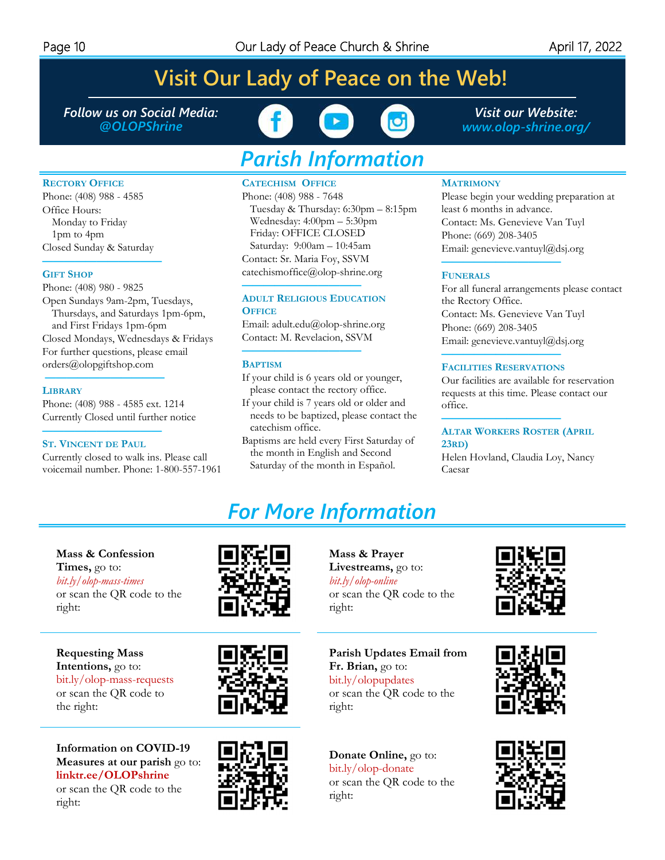**RECTORY OFFICE** Phone: (408) 988 - 4585

Closed Sunday & Saturday **———————————** 

Phone: (408) 980 - 9825

Open Sundays 9am-2pm, Tuesdays, Thursdays, and Saturdays 1pm-6pm,

Closed Mondays, Wednesdays & Fridays For further questions, please email orders@olopgiftshop.com **———————————** 

and First Fridays 1pm-6pm

Phone: (408) 988 - 4585 ext. 1214 Currently Closed until further notice **——————————— ST. VINCENT DE PAUL**

Currently closed to walk ins. Please call voicemail number. Phone: 1-800-557-1961

Office Hours: Monday to Friday 1pm to 4pm

**GIFT SHOP**

**LIBRARY**

# **Visit Our Lady of Peace on the Web!**

*Follow us on Social Media: @OLOPShrine* 



# *Parish Information*

#### **CATECHISM OFFICE**

Phone: (408) 988 - 7648 Tuesday & Thursday: 6:30pm – 8:15pm Wednesday: 4:00pm – 5:30pm Friday: OFFICE CLOSED Saturday: 9:00am – 10:45am Contact: Sr. Maria Foy, SSVM catechismoffice@olop-shrine.org

#### **ADULT RELIGIOUS EDUCATION OFFICE**

**———————————** 

Email: adult.edu@olop-shrine.org Contact: M. Revelacion, SSVM

#### **——————————— BAPTISM**

- If your child is 6 years old or younger, please contact the rectory office.
- If your child is 7 years old or older and needs to be baptized, please contact the catechism office.
- Baptisms are held every First Saturday of the month in English and Second Saturday of the month in Español.

**MATRIMONY**

Please begin your wedding preparation at least 6 months in advance. Contact: Ms. Genevieve Van Tuyl Phone: (669) 208-3405 Email: genevieve.vantuyl@dsj.org

#### **FUNERALS**

For all funeral arrangements please contact the Rectory Office. Contact: Ms. Genevieve Van Tuyl Phone: (669) 208-3405 Email: genevieve.vantuyl@dsj.org **———————————** 

## **FACILITIES RESERVATIONS**

**———————————** 

**———————————** 

Our facilities are available for reservation requests at this time. Please contact our office.

#### **ALTAR WORKERS ROSTER (APRIL 23RD)**

Helen Hovland, Claudia Loy, Nancy Caesar

# *For More Information*

right:

**Mass & Prayer Livestreams,** go to: *bit.ly/olop-online* 

#### **Mass & Confession Times,** go to:

*bit.ly/olop-mass-times*  or scan the QR code to the right:

**Requesting Mass Intentions,** go to: bit.ly/olop-mass-requests or scan the QR code to the right:

**Information on COVID-19 Measures at our parish** go to: **linktr.ee/OLOPshrine** or scan the QR code to the right:





bit.ly/olopupdates or scan the QR code to the right:

**Fr. Brian,** go to:

or scan the QR code to the

**Parish Updates Email from** 

**Donate Online,** go to: bit.ly/olop-donate or scan the QR code to the right:







*Visit our Website: www.olop-shrine.org/*